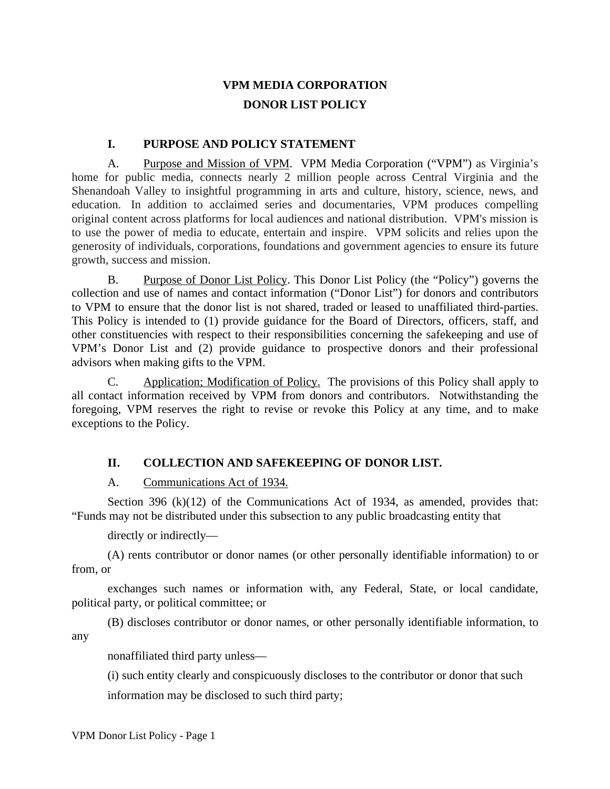## **VPM MEDIA CORPORATION DONOR LIST POLICY**

## **I. PURPOSE AND POLICY STATEMENT**

A. Purpose and Mission of VPM. VPM Media Corporation ("VPM") as Virginia's home for public media, connects nearly 2 million people across Central Virginia and the Shenandoah Valley to insightful programming in arts and culture, history, science, news, and education. In addition to acclaimed series and documentaries, VPM produces compelling original content across platforms for local audiences and national distribution. VPM's mission is to use the power of media to educate, entertain and inspire. VPM solicits and relies upon the generosity of individuals, corporations, foundations and government agencies to ensure its future growth, success and mission.

B. Purpose of Donor List Policy. This Donor List Policy (the "Policy") governs the collection and use of names and contact information ("Donor List") for donors and contributors to VPM to ensure that the donor list is not shared, traded or leased to unaffiliated third-parties. This Policy is intended to (1) provide guidance for the Board of Directors, officers, staff, and other constituencies with respect to their responsibilities concerning the safekeeping and use of VPM's Donor List and (2) provide guidance to prospective donors and their professional advisors when making gifts to the VPM.

C. Application; Modification of Policy. The provisions of this Policy shall apply to all contact information received by VPM from donors and contributors. Notwithstanding the foregoing, VPM reserves the right to revise or revoke this Policy at any time, and to make exceptions to the Policy.

## **II. COLLECTION AND SAFEKEEPING OF DONOR LIST.**

## A. Communications Act of 1934.

Section 396 (k)(12) of the Communications Act of 1934, as amended, provides that: "Funds may not be distributed under this subsection to any public broadcasting entity that

directly or indirectly—

(A) rents contributor or donor names (or other personally identifiable information) to or from, or

exchanges such names or information with, any Federal, State, or local candidate, political party, or political committee; or

(B) discloses contributor or donor names, or other personally identifiable information, to any

nonaffiliated third party unless—

(i) such entity clearly and conspicuously discloses to the contributor or donor that such

information may be disclosed to such third party;